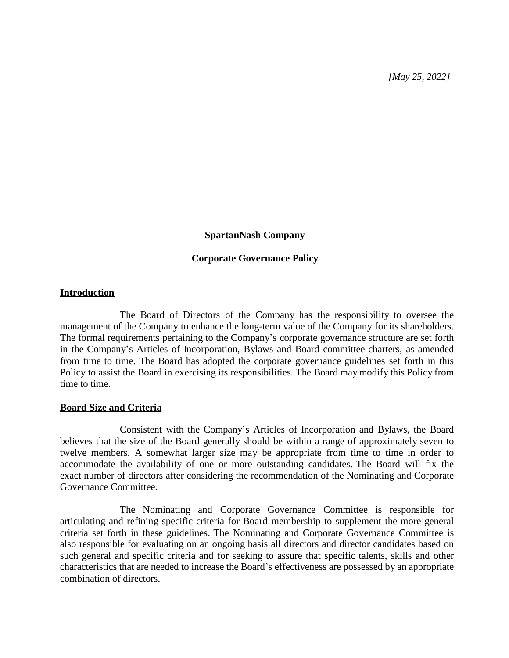*[May 25, 2022]*

#### **SpartanNash Company**

#### **Corporate Governance Policy**

#### **Introduction**

The Board of Directors of the Company has the responsibility to oversee the management of the Company to enhance the long-term value of the Company for its shareholders. The formal requirements pertaining to the Company's corporate governance structure are set forth in the Company's Articles of Incorporation, Bylaws and Board committee charters, as amended from time to time. The Board has adopted the corporate governance guidelines set forth in this Policy to assist the Board in exercising its responsibilities. The Board may modify this Policy from time to time.

#### **Board Size and Criteria**

Consistent with the Company's Articles of Incorporation and Bylaws, the Board believes that the size of the Board generally should be within a range of approximately seven to twelve members. A somewhat larger size may be appropriate from time to time in order to accommodate the availability of one or more outstanding candidates. The Board will fix the exact number of directors after considering the recommendation of the Nominating and Corporate Governance Committee.

The Nominating and Corporate Governance Committee is responsible for articulating and refining specific criteria for Board membership to supplement the more general criteria set forth in these guidelines. The Nominating and Corporate Governance Committee is also responsible for evaluating on an ongoing basis all directors and director candidates based on such general and specific criteria and for seeking to assure that specific talents, skills and other characteristics that are needed to increase the Board's effectiveness are possessed by an appropriate combination of directors.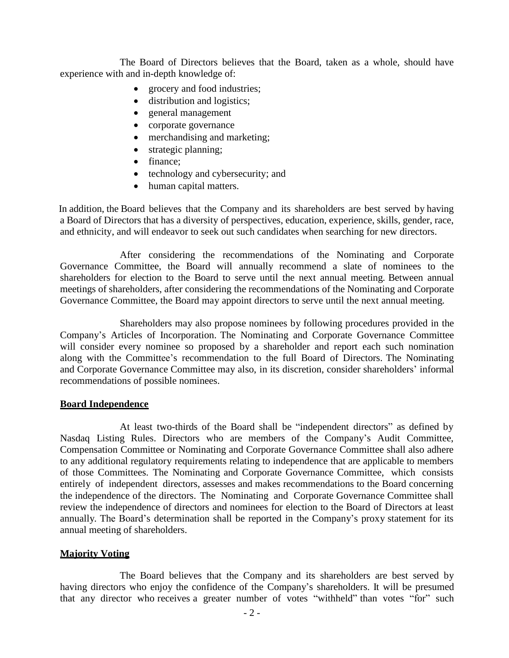The Board of Directors believes that the Board, taken as a whole, should have experience with and in-depth knowledge of:

- grocery and food industries;
- distribution and logistics;
- general management
- corporate governance
- merchandising and marketing;
- strategic planning;
- finance;
- technology and cybersecurity; and
- human capital matters.

In addition, the Board believes that the Company and its shareholders are best served by having a Board of Directors that has a diversity of perspectives, education, experience, skills, gender, race, and ethnicity, and will endeavor to seek out such candidates when searching for new directors.

After considering the recommendations of the Nominating and Corporate Governance Committee, the Board will annually recommend a slate of nominees to the shareholders for election to the Board to serve until the next annual meeting. Between annual meetings of shareholders, after considering the recommendations of the Nominating and Corporate Governance Committee, the Board may appoint directors to serve until the next annual meeting.

Shareholders may also propose nominees by following procedures provided in the Company's Articles of Incorporation. The Nominating and Corporate Governance Committee will consider every nominee so proposed by a shareholder and report each such nomination along with the Committee's recommendation to the full Board of Directors. The Nominating and Corporate Governance Committee may also, in its discretion, consider shareholders' informal recommendations of possible nominees.

#### **Board Independence**

At least two-thirds of the Board shall be "independent directors" as defined by Nasdaq Listing Rules. Directors who are members of the Company's Audit Committee, Compensation Committee or Nominating and Corporate Governance Committee shall also adhere to any additional regulatory requirements relating to independence that are applicable to members of those Committees. The Nominating and Corporate Governance Committee, which consists entirely of independent directors, assesses and makes recommendations to the Board concerning the independence of the directors. The Nominating and Corporate Governance Committee shall review the independence of directors and nominees for election to the Board of Directors at least annually. The Board's determination shall be reported in the Company's proxy statement for its annual meeting of shareholders.

#### **Majority Voting**

The Board believes that the Company and its shareholders are best served by having directors who enjoy the confidence of the Company's shareholders. It will be presumed that any director who receives a greater number of votes "withheld" than votes "for" such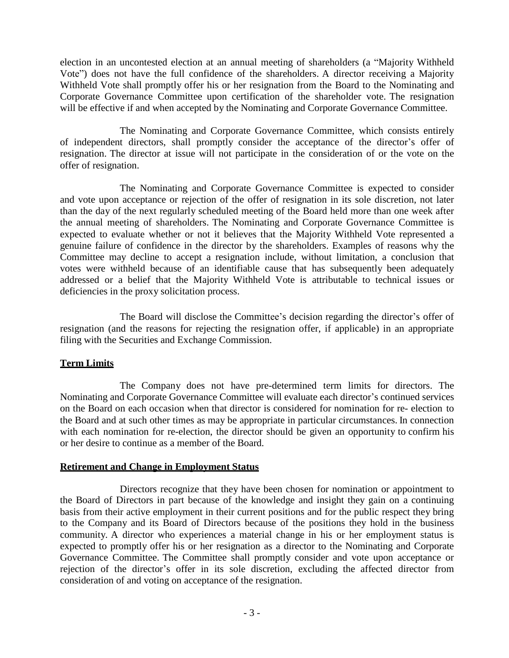election in an uncontested election at an annual meeting of shareholders (a "Majority Withheld Vote") does not have the full confidence of the shareholders. A director receiving a Majority Withheld Vote shall promptly offer his or her resignation from the Board to the Nominating and Corporate Governance Committee upon certification of the shareholder vote. The resignation will be effective if and when accepted by the Nominating and Corporate Governance Committee.

The Nominating and Corporate Governance Committee, which consists entirely of independent directors, shall promptly consider the acceptance of the director's offer of resignation. The director at issue will not participate in the consideration of or the vote on the offer of resignation.

The Nominating and Corporate Governance Committee is expected to consider and vote upon acceptance or rejection of the offer of resignation in its sole discretion, not later than the day of the next regularly scheduled meeting of the Board held more than one week after the annual meeting of shareholders. The Nominating and Corporate Governance Committee is expected to evaluate whether or not it believes that the Majority Withheld Vote represented a genuine failure of confidence in the director by the shareholders. Examples of reasons why the Committee may decline to accept a resignation include, without limitation, a conclusion that votes were withheld because of an identifiable cause that has subsequently been adequately addressed or a belief that the Majority Withheld Vote is attributable to technical issues or deficiencies in the proxy solicitation process.

The Board will disclose the Committee's decision regarding the director's offer of resignation (and the reasons for rejecting the resignation offer, if applicable) in an appropriate filing with the Securities and Exchange Commission.

# **Term Limits**

The Company does not have pre-determined term limits for directors. The Nominating and Corporate Governance Committee will evaluate each director's continued services on the Board on each occasion when that director is considered for nomination for re- election to the Board and at such other times as may be appropriate in particular circumstances. In connection with each nomination for re-election, the director should be given an opportunity to confirm his or her desire to continue as a member of the Board.

## **Retirement and Change in Employment Status**

Directors recognize that they have been chosen for nomination or appointment to the Board of Directors in part because of the knowledge and insight they gain on a continuing basis from their active employment in their current positions and for the public respect they bring to the Company and its Board of Directors because of the positions they hold in the business community. A director who experiences a material change in his or her employment status is expected to promptly offer his or her resignation as a director to the Nominating and Corporate Governance Committee. The Committee shall promptly consider and vote upon acceptance or rejection of the director's offer in its sole discretion, excluding the affected director from consideration of and voting on acceptance of the resignation.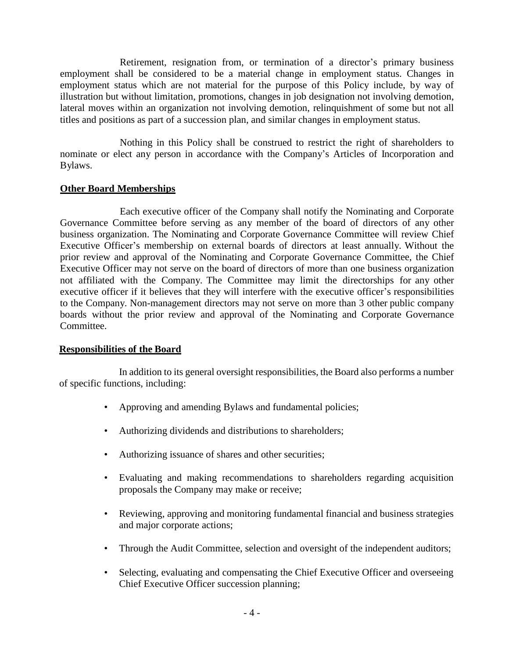Retirement, resignation from, or termination of a director's primary business employment shall be considered to be a material change in employment status. Changes in employment status which are not material for the purpose of this Policy include, by way of illustration but without limitation, promotions, changes in job designation not involving demotion, lateral moves within an organization not involving demotion, relinquishment of some but not all titles and positions as part of a succession plan, and similar changes in employment status.

Nothing in this Policy shall be construed to restrict the right of shareholders to nominate or elect any person in accordance with the Company's Articles of Incorporation and Bylaws.

# **Other Board Memberships**

Each executive officer of the Company shall notify the Nominating and Corporate Governance Committee before serving as any member of the board of directors of any other business organization. The Nominating and Corporate Governance Committee will review Chief Executive Officer's membership on external boards of directors at least annually. Without the prior review and approval of the Nominating and Corporate Governance Committee, the Chief Executive Officer may not serve on the board of directors of more than one business organization not affiliated with the Company. The Committee may limit the directorships for any other executive officer if it believes that they will interfere with the executive officer's responsibilities to the Company. Non-management directors may not serve on more than 3 other public company boards without the prior review and approval of the Nominating and Corporate Governance Committee.

## **Responsibilities of the Board**

In addition to its general oversight responsibilities, the Board also performs a number of specific functions, including:

- Approving and amending Bylaws and fundamental policies;
- Authorizing dividends and distributions to shareholders;
- Authorizing issuance of shares and other securities;
- Evaluating and making recommendations to shareholders regarding acquisition proposals the Company may make or receive;
- Reviewing, approving and monitoring fundamental financial and business strategies and major corporate actions;
- Through the Audit Committee, selection and oversight of the independent auditors;
- Selecting, evaluating and compensating the Chief Executive Officer and overseeing Chief Executive Officer succession planning;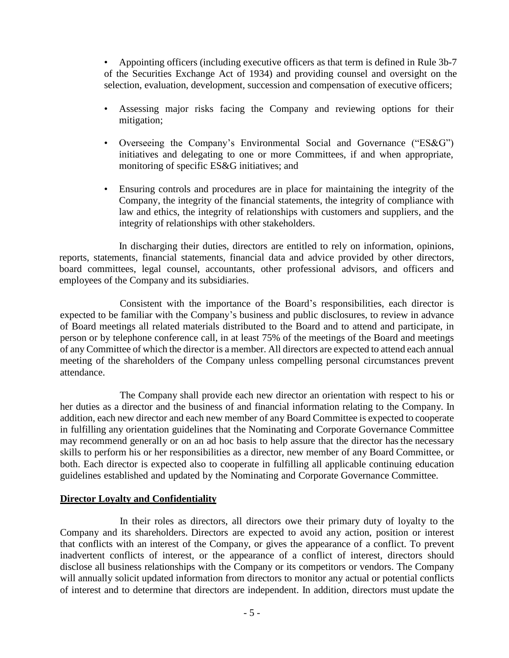• Appointing officers (including executive officers as that term is defined in Rule 3b-7 of the Securities Exchange Act of 1934) and providing counsel and oversight on the selection, evaluation, development, succession and compensation of executive officers;

- Assessing major risks facing the Company and reviewing options for their mitigation;
- Overseeing the Company's Environmental Social and Governance ("ES&G") initiatives and delegating to one or more Committees, if and when appropriate, monitoring of specific ES&G initiatives; and
- Ensuring controls and procedures are in place for maintaining the integrity of the Company, the integrity of the financial statements, the integrity of compliance with law and ethics, the integrity of relationships with customers and suppliers, and the integrity of relationships with other stakeholders.

In discharging their duties, directors are entitled to rely on information, opinions, reports, statements, financial statements, financial data and advice provided by other directors, board committees, legal counsel, accountants, other professional advisors, and officers and employees of the Company and its subsidiaries.

Consistent with the importance of the Board's responsibilities, each director is expected to be familiar with the Company's business and public disclosures, to review in advance of Board meetings all related materials distributed to the Board and to attend and participate, in person or by telephone conference call, in at least 75% of the meetings of the Board and meetings of any Committee of which the director is a member. All directors are expected to attend each annual meeting of the shareholders of the Company unless compelling personal circumstances prevent attendance.

The Company shall provide each new director an orientation with respect to his or her duties as a director and the business of and financial information relating to the Company. In addition, each new director and each new member of any Board Committee is expected to cooperate in fulfilling any orientation guidelines that the Nominating and Corporate Governance Committee may recommend generally or on an ad hoc basis to help assure that the director has the necessary skills to perform his or her responsibilities as a director, new member of any Board Committee, or both. Each director is expected also to cooperate in fulfilling all applicable continuing education guidelines established and updated by the Nominating and Corporate Governance Committee.

## **Director Loyalty and Confidentiality**

In their roles as directors, all directors owe their primary duty of loyalty to the Company and its shareholders. Directors are expected to avoid any action, position or interest that conflicts with an interest of the Company, or gives the appearance of a conflict. To prevent inadvertent conflicts of interest, or the appearance of a conflict of interest, directors should disclose all business relationships with the Company or its competitors or vendors. The Company will annually solicit updated information from directors to monitor any actual or potential conflicts of interest and to determine that directors are independent. In addition, directors must update the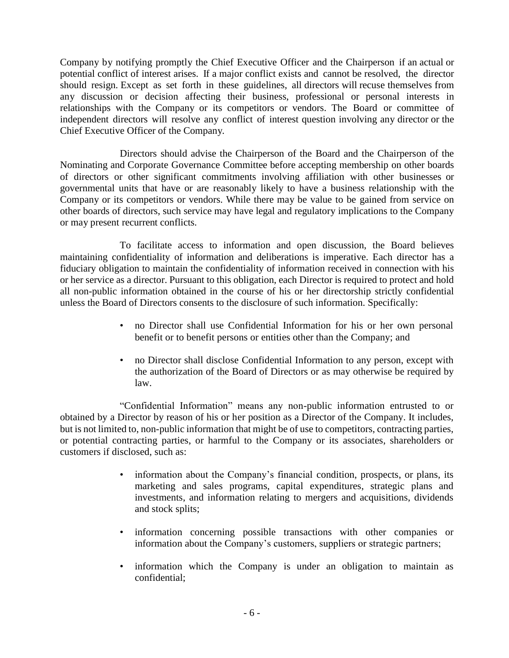Company by notifying promptly the Chief Executive Officer and the Chairperson if an actual or potential conflict of interest arises. If a major conflict exists and cannot be resolved, the director should resign. Except as set forth in these guidelines, all directors will recuse themselves from any discussion or decision affecting their business, professional or personal interests in relationships with the Company or its competitors or vendors. The Board or committee of independent directors will resolve any conflict of interest question involving any director or the Chief Executive Officer of the Company.

Directors should advise the Chairperson of the Board and the Chairperson of the Nominating and Corporate Governance Committee before accepting membership on other boards of directors or other significant commitments involving affiliation with other businesses or governmental units that have or are reasonably likely to have a business relationship with the Company or its competitors or vendors. While there may be value to be gained from service on other boards of directors, such service may have legal and regulatory implications to the Company or may present recurrent conflicts.

To facilitate access to information and open discussion, the Board believes maintaining confidentiality of information and deliberations is imperative. Each director has a fiduciary obligation to maintain the confidentiality of information received in connection with his or her service as a director. Pursuant to this obligation, each Director is required to protect and hold all non-public information obtained in the course of his or her directorship strictly confidential unless the Board of Directors consents to the disclosure of such information. Specifically:

- no Director shall use Confidential Information for his or her own personal benefit or to benefit persons or entities other than the Company; and
- no Director shall disclose Confidential Information to any person, except with the authorization of the Board of Directors or as may otherwise be required by law.

"Confidential Information" means any non-public information entrusted to or obtained by a Director by reason of his or her position as a Director of the Company. It includes, but is not limited to, non-public information that might be of use to competitors, contracting parties, or potential contracting parties, or harmful to the Company or its associates, shareholders or customers if disclosed, such as:

- information about the Company's financial condition, prospects, or plans, its marketing and sales programs, capital expenditures, strategic plans and investments, and information relating to mergers and acquisitions, dividends and stock splits;
- information concerning possible transactions with other companies or information about the Company's customers, suppliers or strategic partners;
- information which the Company is under an obligation to maintain as confidential;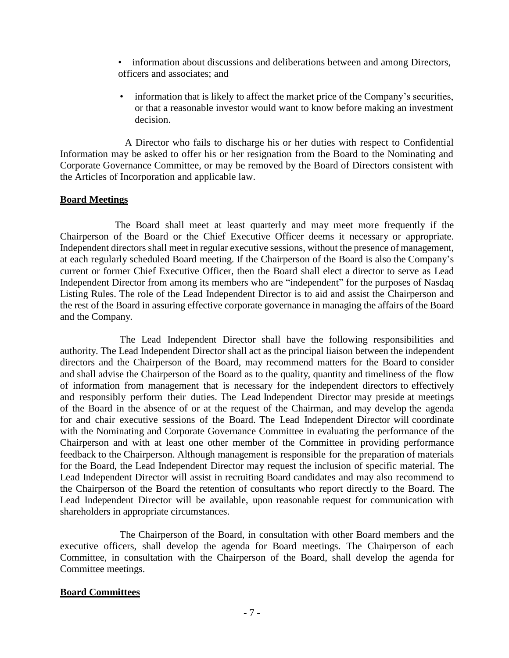- information about discussions and deliberations between and among Directors, officers and associates; and
- information that is likely to affect the market price of the Company's securities, or that a reasonable investor would want to know before making an investment decision.

A Director who fails to discharge his or her duties with respect to Confidential Information may be asked to offer his or her resignation from the Board to the Nominating and Corporate Governance Committee, or may be removed by the Board of Directors consistent with the Articles of Incorporation and applicable law.

## **Board Meetings**

The Board shall meet at least quarterly and may meet more frequently if the Chairperson of the Board or the Chief Executive Officer deems it necessary or appropriate. Independent directors shall meet in regular executive sessions, without the presence of management, at each regularly scheduled Board meeting. If the Chairperson of the Board is also the Company's current or former Chief Executive Officer, then the Board shall elect a director to serve as Lead Independent Director from among its members who are "independent" for the purposes of Nasdaq Listing Rules. The role of the Lead Independent Director is to aid and assist the Chairperson and the rest of the Board in assuring effective corporate governance in managing the affairs of the Board and the Company.

The Lead Independent Director shall have the following responsibilities and authority. The Lead Independent Director shall act as the principal liaison between the independent directors and the Chairperson of the Board, may recommend matters for the Board to consider and shall advise the Chairperson of the Board as to the quality, quantity and timeliness of the flow of information from management that is necessary for the independent directors to effectively and responsibly perform their duties. The Lead Independent Director may preside at meetings of the Board in the absence of or at the request of the Chairman, and may develop the agenda for and chair executive sessions of the Board. The Lead Independent Director will coordinate with the Nominating and Corporate Governance Committee in evaluating the performance of the Chairperson and with at least one other member of the Committee in providing performance feedback to the Chairperson. Although management is responsible for the preparation of materials for the Board, the Lead Independent Director may request the inclusion of specific material. The Lead Independent Director will assist in recruiting Board candidates and may also recommend to the Chairperson of the Board the retention of consultants who report directly to the Board. The Lead Independent Director will be available, upon reasonable request for communication with shareholders in appropriate circumstances.

The Chairperson of the Board, in consultation with other Board members and the executive officers, shall develop the agenda for Board meetings. The Chairperson of each Committee, in consultation with the Chairperson of the Board, shall develop the agenda for Committee meetings.

# **Board Committees**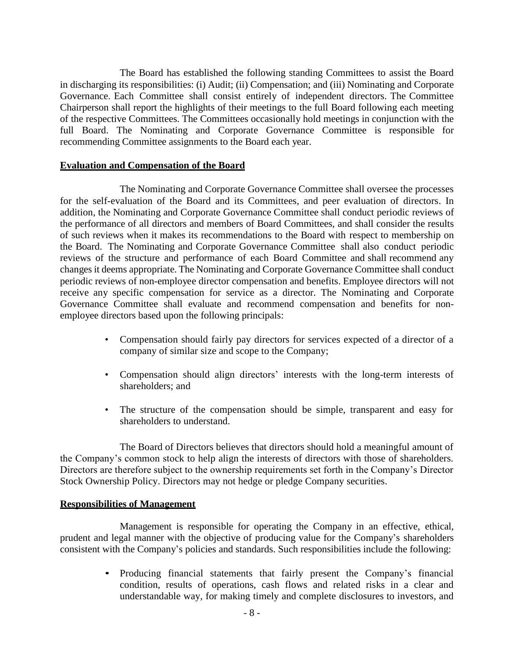The Board has established the following standing Committees to assist the Board in discharging its responsibilities: (i) Audit; (ii) Compensation; and (iii) Nominating and Corporate Governance. Each Committee shall consist entirely of independent directors. The Committee Chairperson shall report the highlights of their meetings to the full Board following each meeting of the respective Committees. The Committees occasionally hold meetings in conjunction with the full Board. The Nominating and Corporate Governance Committee is responsible for recommending Committee assignments to the Board each year.

## **Evaluation and Compensation of the Board**

The Nominating and Corporate Governance Committee shall oversee the processes for the self-evaluation of the Board and its Committees, and peer evaluation of directors. In addition, the Nominating and Corporate Governance Committee shall conduct periodic reviews of the performance of all directors and members of Board Committees, and shall consider the results of such reviews when it makes its recommendations to the Board with respect to membership on the Board. The Nominating and Corporate Governance Committee shall also conduct periodic reviews of the structure and performance of each Board Committee and shall recommend any changes it deems appropriate. The Nominating and Corporate Governance Committee shall conduct periodic reviews of non-employee director compensation and benefits. Employee directors will not receive any specific compensation for service as a director. The Nominating and Corporate Governance Committee shall evaluate and recommend compensation and benefits for nonemployee directors based upon the following principals:

- Compensation should fairly pay directors for services expected of a director of a company of similar size and scope to the Company;
- Compensation should align directors' interests with the long-term interests of shareholders; and
- The structure of the compensation should be simple, transparent and easy for shareholders to understand.

The Board of Directors believes that directors should hold a meaningful amount of the Company's common stock to help align the interests of directors with those of shareholders. Directors are therefore subject to the ownership requirements set forth in the Company's Director Stock Ownership Policy. Directors may not hedge or pledge Company securities.

## **Responsibilities of Management**

Management is responsible for operating the Company in an effective, ethical, prudent and legal manner with the objective of producing value for the Company's shareholders consistent with the Company's policies and standards. Such responsibilities include the following:

> • Producing financial statements that fairly present the Company's financial condition, results of operations, cash flows and related risks in a clear and understandable way, for making timely and complete disclosures to investors, and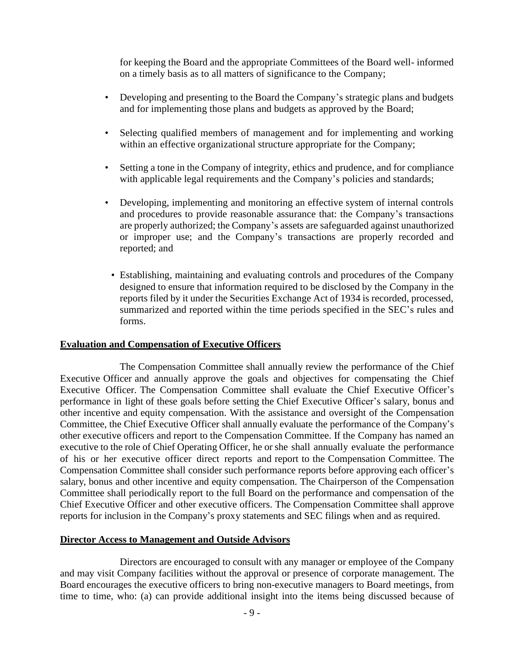for keeping the Board and the appropriate Committees of the Board well- informed on a timely basis as to all matters of significance to the Company;

- Developing and presenting to the Board the Company's strategic plans and budgets and for implementing those plans and budgets as approved by the Board;
- Selecting qualified members of management and for implementing and working within an effective organizational structure appropriate for the Company;
- Setting a tone in the Company of integrity, ethics and prudence, and for compliance with applicable legal requirements and the Company's policies and standards;
- Developing, implementing and monitoring an effective system of internal controls and procedures to provide reasonable assurance that: the Company's transactions are properly authorized; the Company's assets are safeguarded against unauthorized or improper use; and the Company's transactions are properly recorded and reported; and
	- Establishing, maintaining and evaluating controls and procedures of the Company designed to ensure that information required to be disclosed by the Company in the reports filed by it under the Securities Exchange Act of 1934 is recorded, processed, summarized and reported within the time periods specified in the SEC's rules and forms.

## **Evaluation and Compensation of Executive Officers**

The Compensation Committee shall annually review the performance of the Chief Executive Officer and annually approve the goals and objectives for compensating the Chief Executive Officer. The Compensation Committee shall evaluate the Chief Executive Officer's performance in light of these goals before setting the Chief Executive Officer's salary, bonus and other incentive and equity compensation. With the assistance and oversight of the Compensation Committee, the Chief Executive Officer shall annually evaluate the performance of the Company's other executive officers and report to the Compensation Committee. If the Company has named an executive to the role of Chief Operating Officer, he or she shall annually evaluate the performance of his or her executive officer direct reports and report to the Compensation Committee. The Compensation Committee shall consider such performance reports before approving each officer's salary, bonus and other incentive and equity compensation. The Chairperson of the Compensation Committee shall periodically report to the full Board on the performance and compensation of the Chief Executive Officer and other executive officers. The Compensation Committee shall approve reports for inclusion in the Company's proxy statements and SEC filings when and as required.

#### **Director Access to Management and Outside Advisors**

Directors are encouraged to consult with any manager or employee of the Company and may visit Company facilities without the approval or presence of corporate management. The Board encourages the executive officers to bring non-executive managers to Board meetings, from time to time, who: (a) can provide additional insight into the items being discussed because of